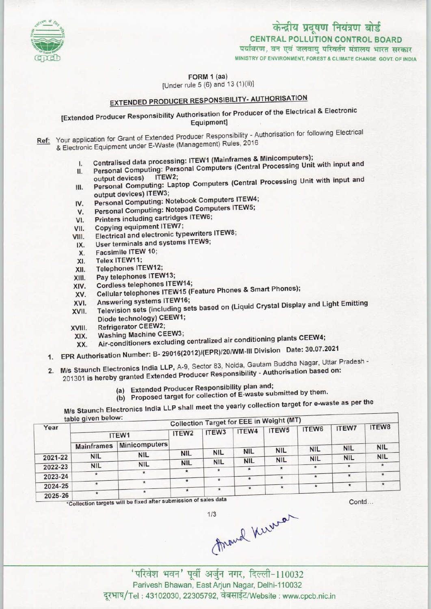

# CENTRAL POLLUTION CONTROL BOARD केन्द्रीय प्रदूषण नियंत्रण बोर्ड<br>CENTRAL POLLUTION CONTROL BOARD<br>पर्यावरण, वन एवं जलवाय परिवर्तन मंत्रालय भारत सरकार

MINISTRY OF ENVIRONMENT, FOREST & CLIMATE CHANGE GOVT. OF INDIA

FORM 1 (aa)

[Under rule 5 (6) and 13 (1)(ii)]

## **EXTENDED PRODUCER RESPONSIBILITY- AUTHORISATION**

## [Extended Producer Responsibility Authorisation for Producer of the Electrical & Electronic Equipment]

- Ref: Your application for Grant of Extended Producer Responsibility Authorisation for following Electrical & Electronic Equipment under E-Waste (Management) Rules, 2016
	- I. Centralised data processing: ITEW1 (Mainframes & Minicomputers);
	- II. Personal Computing: Personal Computers (Central Processing Unit with input and II. Centralised data processing. NEW2;<br>III. Personal Computing: Personal Computers (Central Processing Unit with input and<br>III. Personal Computing: Laptop Computers (Central Processing Unit with input and
	- output devices) ITEW3; III. Personal Computing: Laptop Computers (Central<br>output devices) ITEW3;<br>IV. Personal Computing: Notebook Computers ITEW4;
	- output devices) ITEW3;<br>V. Personal Computing: Notebook Computers ITEW4<br>V. Personal Computing: Notepad Computers ITEW5;
	- IV. Personal Computing: Notebook Computers ITEW5;<br>VI. Printers including cartridges ITEW6;<br>VII. Copying equipment ITEW7;
	-
	- Copying equipment ITEW7;
	- VI. Printers including cartridges ITEW6;<br>VII. Copying equipment ITEW7;<br>VIII. Electrical and electronic typewriters ITEW8; THE Copying equipment ITEW7;<br>III. Electrical and electronic typewriters<br>IX. User terminals and systems ITEW9;
	- VIII. Electrical and electronic typewriters<br>IX. User terminals and systems ITEW9;<br>X. Facsimile ITEW 10;<br>XI. Telex ITEW11;
	-
	-
	- X. Facsimile ITEW 10;<br>XI. Telex ITEW11;<br>XII. Telephones ITEW12
	- XII. Telephones ITEW12;<br>XIII. Pay telephones ITEW
	- XIII. Pay telephones ITEW13;<br>XIV. Cordless telephones ITE XIV. Cordless telephones ITEW14;<br>XV. Cellular telephones ITEW15 (F
	- XV.Cellular telephonesITEW15 (Feature Phones& SmartPhones);
	- XIV. Cordless telephones ITEW14<br>XVI. Cellular telephones ITEW15<br>XVI. Answering systems ITEW16;
	- XVI. Answering systems ITEW16;<br>XVII. Television sets (including sets based on (Liquid Crystal Display and Light Emitting XVII. Television sets (including state)<br>Diode technology) CEEW1;<br>XVIII. Refrigerator CEEW2;<br>Machine Machine CEEW3;
	-
	- XVIII. Refrigerator CEEW2;<br>XIX. Washing Machine CEEW3;<br>XX. Air-conditioners excluding
		- Air-conditioners excluding centralized air conditioning plants CEEW4;
	- 1.EPR Authorisation Number: B- 29016(2012)/(EPR)/20/WM-II1 Division Date: 30.07.2021
	- 2. M/s Staunch Electronics India LLP, A-9, Sector 83, Noida, Gautam Buddha Nagar, Uttar Pradesh -
	- 201301 is hereby granted Extended Producer Responsibility Authorisation based on:
		- (a) Extended Producer Responsibility plan and;
		- (b) Proposed target for collection of E-waste submitted by them.

(b) Proposed target for concentrial  $\frac{1}{2}$  collection target for e-waste as per the table given below:

|         | table given below: |               |                   |            |            | <b>Collection Target for EEE in Weight (MT)</b> |            |                                          |            |
|---------|--------------------|---------------|-------------------|------------|------------|-------------------------------------------------|------------|------------------------------------------|------------|
| Year    | ITEW1              |               | ITEW <sub>2</sub> | ITEW3      | ITEW4      | ITEW <sub>5</sub>                               | ITEW6      | <b>ITEW7</b>                             | ITEW8      |
|         | <b>Mainframes</b>  | Minicomputers |                   |            |            |                                                 | <b>NIL</b> | <b>NIL</b>                               | <b>NIL</b> |
| 2021-22 | <b>NIL</b>         | <b>NIL</b>    | <b>NIL</b>        | <b>NIL</b> | <b>NIL</b> | <b>NIL</b>                                      |            | <b>NIL</b>                               | <b>NIL</b> |
|         |                    | <b>NIL</b>    | <b>NIL</b>        | <b>NIL</b> | <b>NIL</b> | <b>NIL</b>                                      | <b>NIL</b> |                                          |            |
| 2022-23 | <b>NIL</b>         | $\star$       | $\star$           | $\star$    |            | $\star$                                         |            |                                          |            |
| 2023-24 |                    |               |                   | $\star$    | *          |                                                 |            |                                          |            |
| 2024-25 |                    | $\star$       |                   |            |            |                                                 |            |                                          |            |
| 2025-26 | $\star$            |               | the hand side     | $\star$    |            |                                                 |            | the company's property and the company's |            |

ficollection targets will be fixed after submission of sales data

Contd...

 $1/3$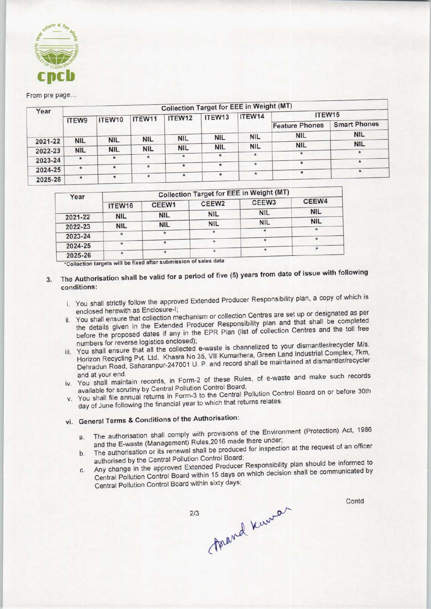

#### From pre page...

|         | <b>Collection Target for EEE in Weight (MT)</b> |            |            |               |                    |            |                       |                     |  |  |  |
|---------|-------------------------------------------------|------------|------------|---------------|--------------------|------------|-----------------------|---------------------|--|--|--|
| Year    |                                                 | ITEW10     | ITEW11     | ITEW12        | ITEW <sub>13</sub> | ITEW14     | ITEW15                |                     |  |  |  |
|         | ITEW9                                           |            |            |               |                    |            | <b>Feature Phones</b> | <b>Smart Phones</b> |  |  |  |
|         |                                                 |            |            | <b>NIL</b>    | <b>NIL</b>         | <b>NIL</b> | <b>NIL</b>            | <b>NIL</b>          |  |  |  |
| 2021-22 | <b>NIL</b>                                      | <b>NIL</b> | <b>NIL</b> |               |                    |            | <b>NIL</b>            | <b>NIL</b>          |  |  |  |
| 2022-23 | <b>NIL</b>                                      | <b>NIL</b> | <b>NIL</b> | <b>NIL</b>    | <b>NIL</b>         | <b>NIL</b> |                       |                     |  |  |  |
| 2023-24 | $\star$                                         | $\star$    | $*$        | $\pmb{\star}$ |                    | $\star$    | $\boldsymbol{\pi}$    |                     |  |  |  |
|         |                                                 |            | $\star$    | $\star$       | $\star$            | $\star$    | $\star$               |                     |  |  |  |
| 2024-25 | $\star$                                         | $\star$    |            |               |                    |            |                       |                     |  |  |  |
| 2025-26 | $\star$                                         |            | $\star$    | $\star$       |                    | $\star$    |                       |                     |  |  |  |

| Year    | <b>Collection Target for EEE in Weight (MT)</b> |            |                   |                   |            |  |  |  |
|---------|-------------------------------------------------|------------|-------------------|-------------------|------------|--|--|--|
|         | ITEW16                                          | CEEW1      | CEEW <sub>2</sub> | CEEW <sub>3</sub> | CEEW4      |  |  |  |
| 2021-22 | <b>NIL</b>                                      | <b>NIL</b> | <b>NIL</b>        | <b>NIL</b>        | <b>NIL</b> |  |  |  |
| 2022-23 | <b>NIL</b>                                      | <b>NIL</b> | <b>NIL</b>        | <b>NIL</b>        | <b>NIL</b> |  |  |  |
| 2023-24 |                                                 | $\star$    |                   |                   |            |  |  |  |
| 2024-25 |                                                 | Ħ          |                   |                   |            |  |  |  |
| 2025-26 |                                                 | ֎          |                   |                   |            |  |  |  |

'Collection targets will bo fixed aftersubmission of sales dats \* 2025-26

- The Authorisation shall be valid for a period of five (5) years from date of issue with following  $3.$ conditions:
	- i. You shall strictly follow the approved Extended Producer Responsibility plan, a copy of which is enclosed herewith as Enclosure-I;
	- ii. You shall ensure that collection mechanism or collection Centres are set up or designated as per the details given in the Extended Producer Responsibility plan and that shall be completed before the proposed dates if any in the EPR Plan (list of collection Centres and the toll free numbers for reverse logistics enclosed);
	- iii. You shall ensure that all the collected e-waste is channelized to your dismantler/recycler M/s. Horizon Recycling Pvt. Ltd. Khasra No 35, Vill Kumarhera, Green Land Industrial Complex, 7km, Dehradun Road, Saharanpur-247001 U. P. and record shall be maintained at dismantler/recycler
	- and at your end. iv. You shall maintain records, in Form-2 of these Rules, of e-waste and make such records available for scrutiny by Central Pollution Control Board;
	- v. You shall file annual returns in Form-3 to the Central Pollution Control Board on or before 30th day of June following the financial year to which that returns relates.

## vi. General Terms & Conditions of the Authorisation:

- a. The authorisation shall comply with provisions of the Environment (Protection) Act, 1986 and the E-waste (Management) Rules, 2016 made there under;
- b. The authorisation or its renewal shall be produced for inspection at the request of an officer authorised by the Central Pollution Control Board;
- c.Any change in the approved Extended Producer Responsibility plan should be informed to Central Pollution Control Board within 15 days on which decision shall be communicated by Central Pollution Control Board within sixty days;

forand known

 $2/3$ 

Contd